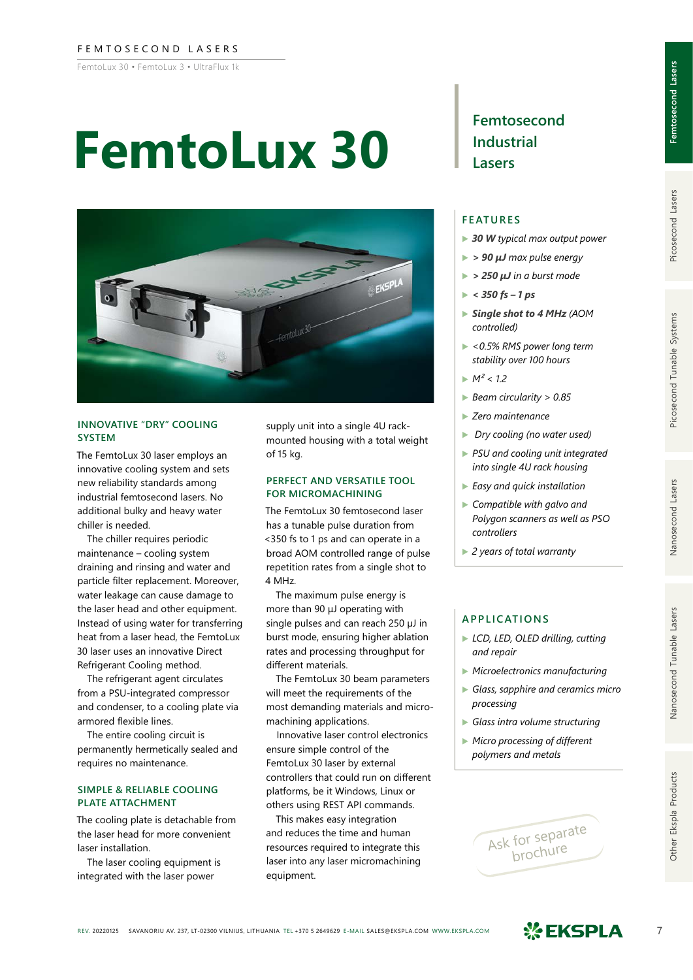### FEMTOSECOND LASERS

FemtoLux 30 • FemtoLux 3 • UltraFlux 1k

# **FemtoLux 30**



### **INNOVATIVE "DRY" COOLING SYSTEM**

The FemtoLux 30 laser employs an innovative cooling system and sets new reliability standards among industrial femtosecond lasers. No additional bulky and heavy water chiller is needed.

The chiller requires periodic maintenance – cooling system draining and rinsing and water and particle filter replacement. Moreover, water leakage can cause damage to the laser head and other equipment. Instead of using water for transferring heat from a laser head, the FemtoLux 30 laser uses an innovative Direct Refrigerant Cooling method.

The refrigerant agent circulates from a PSU-integrated compressor and condenser, to a cooling plate via armored flexible lines.

The entire cooling circuit is permanently hermetically sealed and requires no maintenance.

### **SIMPLE & RELIABLE COOLING PLATE ATTACHMENT**

The cooling plate is detachable from the laser head for more convenient laser installation.

The laser cooling equipment is integrated with the laser power

supply unit into a single 4U rackmounted housing with a total weight of 15 kg.

### **PERFECT AND VERSATILE TOOL FOR MICROMACHINING**

The FemtoLux 30 femtosecond laser has a tunable pulse duration from <350 fs to 1 ps and can operate in a broad AOM controlled range of pulse repetition rates from a single shot to 4 MHz.

The maximum pulse energy is more than 90 μJ operating with single pulses and can reach 250 µJ in burst mode, ensuring higher ablation rates and processing throughput for different materials.

The FemtoLux 30 beam parameters will meet the requirements of the most demanding materials and micromachining applications.

Innovative laser control electronics ensure simple control of the FemtoLux 30 laser by external controllers that could run on different platforms, be it Windows, Linux or others using REST API commands.

This makes easy integration and reduces the time and human resources required to integrate this laser into any laser micromachining equipment.

# **Femtosecond Industrial Lasers**

## **FEATURES**

- ▶ *30 W typical max output power*
- ▶ *> 90 µJ max pulse energy*
- ▶ *> 250 µJ in a burst mode*
- $\blacktriangleright$  < 350 fs 1 ps
- ▶ *Single shot to 4 MHz (AOM controlled)*
- ▶ *<0.5% RMS power long term stability over 100 hours*
- $M^2 < 1.2$
- ▶ *Beam circularity > 0.85*
- ▶ *Zero maintenance*
- ▶ *Dry cooling (no water used)*
- ▶ *PSU and cooling unit integrated into single 4U rack housing*
- ▶ *Easy and quick installation*
- ▶ *Compatible with galvo and Polygon scanners as well as PSO controllers*
- ▶ *2 years of total warranty*

# **APPLICATIONS**

- ▶ *LCD, LED, OLED drilling, cutting and repair*
- ▶ *Microelectronics manufacturing*
- ▶ *Glass, sapphire and ceramics micro processing*
- ▶ *Glass intra volume structuring*
- ▶ *Micro processing of different polymers and metals*



Nanosecond Lasers

Nanosecond Tunable Lasers

Other Ekspla Products

**Femtosecond Lasers**

Femtosecond Lasers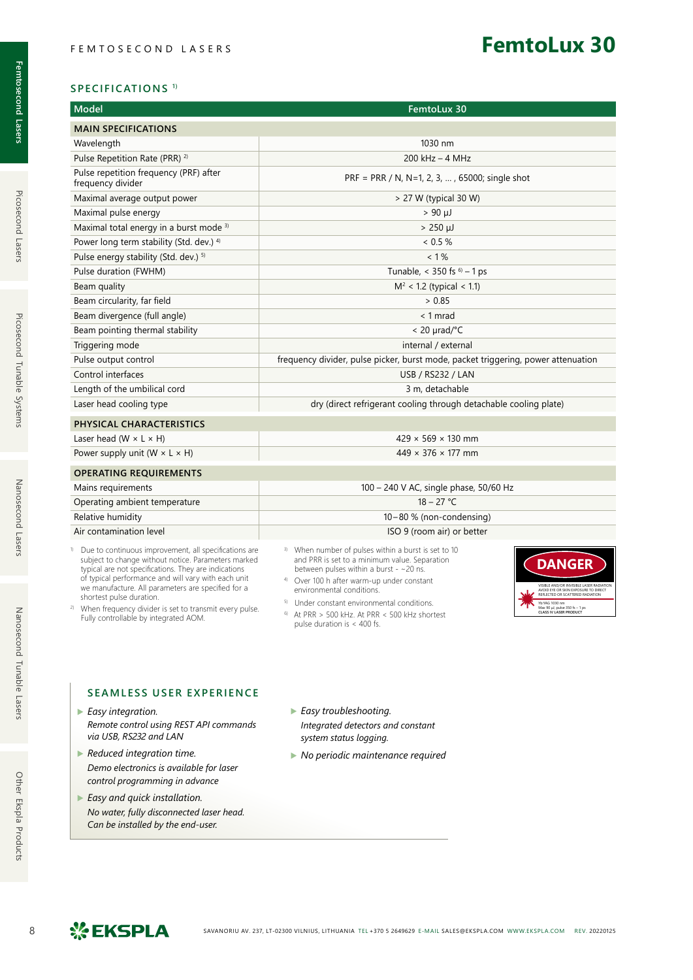# **FemtoLux 30**

| <b>Model</b>                                                | FemtoLux 30                                                                       |
|-------------------------------------------------------------|-----------------------------------------------------------------------------------|
| <b>MAIN SPECIFICATIONS</b>                                  |                                                                                   |
| Wavelength                                                  | 1030 nm                                                                           |
| Pulse Repetition Rate (PRR) <sup>2)</sup>                   | $200$ kHz $-$ 4 MHz                                                               |
| Pulse repetition frequency (PRF) after<br>frequency divider | PRF = PRR / N, N=1, 2, 3, , 65000; single shot                                    |
| Maximal average output power                                | > 27 W (typical 30 W)                                                             |
| Maximal pulse energy                                        | $> 90 \mu$                                                                        |
| Maximal total energy in a burst mode 3)                     | $> 250 \mu J$                                                                     |
| Power long term stability (Std. dev.) 4)                    | $< 0.5 \%$                                                                        |
| Pulse energy stability (Std. dev.) 5)                       | $< 1\%$                                                                           |
| Pulse duration (FWHM)                                       | Tunable, < 350 fs $^{6)}$ – 1 ps                                                  |
| Beam quality                                                | $M^2$ < 1.2 (typical < 1.1)                                                       |
| Beam circularity, far field                                 | > 0.85                                                                            |
| Beam divergence (full angle)                                | $< 1$ mrad                                                                        |
| Beam pointing thermal stability                             | $< 20$ µrad/°C                                                                    |
| Triggering mode                                             | internal / external                                                               |
| Pulse output control                                        | frequency divider, pulse picker, burst mode, packet triggering, power attenuation |
| Control interfaces                                          | <b>USB / RS232 / LAN</b>                                                          |
| Length of the umbilical cord                                | 3 m, detachable                                                                   |
| Laser head cooling type                                     | dry (direct refrigerant cooling through detachable cooling plate)                 |
| PHYSICAL CHARACTERISTICS                                    |                                                                                   |
| Laser head (W $\times$ L $\times$ H)                        | $429 \times 569 \times 130$ mm                                                    |
| Power supply unit ( $W \times L \times H$ )                 | $449 \times 376 \times 177$ mm                                                    |
| <b>OPERATING REQUIREMENTS</b>                               |                                                                                   |
| Mains requirements                                          | 100 - 240 V AC, single phase, 50/60 Hz                                            |
| Operating ambient temperature                               | $18 - 27 °C$                                                                      |
| Relative humidity                                           | $10-80$ % (non-condensing)                                                        |

| 1.21                    |  |  |
|-------------------------|--|--|
| Air contamination level |  |  |

- <sup>1)</sup> Due to continuous improvement, all specifications are subject to change without notice. Parameters marked typical are not specifications. They are indications of typical performance and will vary with each unit we manufacture. All parameters are specified for a shortest pulse duration.
- 2) When frequency divider is set to transmit every pulse. Fully controllable by integrated AOM.
- 3) When number of pulses within a burst is set to 10 and PRR is set to a minimum value. Separation between pulses within a burst - ~20 ns.

ISO 9 (room air) or better

- 4) Over 100 h after warm-up under constant environmental conditions.
- 5) Under constant environmental conditions. 6) At PRR > 500 kHz. At PRR < 500 kHz shortest
- pulse duration is < 400 fs.



# **SEAMLESS USER EXPERIENCE**

- ▶ *Easy integration. Remote control using REST API commands via USB, RS232 and LAN*
- ▶ *Reduced integration time. Demo electronics is available for laser control programming in advance*
- ▶ *Easy and quick installation. No water, fully disconnected laser head. Can be installed by the end-user.*
- ▶ *Easy troubleshooting. Integrated detectors and constant system status logging.*
- ▶ *No periodic maintenance required*

Picosecond Lasers

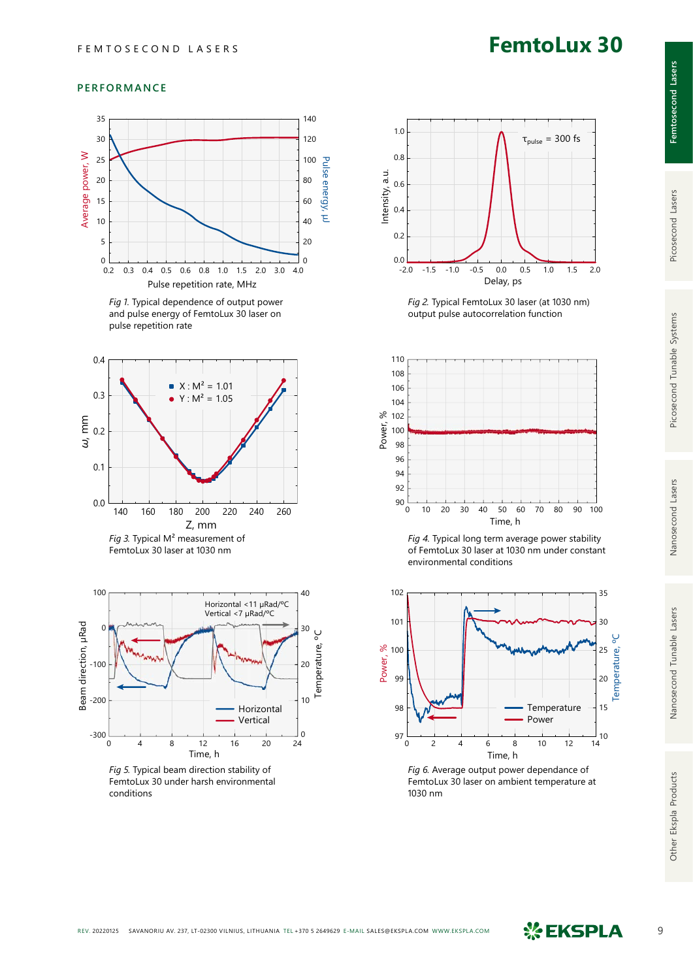# **FemtoLux 30**

### **PERFORMANCE**



*Fig 1.* Typical dependence of output power and pulse energy of FemtoLux 30 laser on pulse repetition rate





*Fig 5.* Typical beam direction stability of FemtoLux 30 under harsh environmental conditions



*Fig 2.* Typical FemtoLux 30 laser (at 1030 nm) output pulse autocorrelation function







*Fig 6.* Average output power dependance of FemtoLux 30 laser on ambient temperature at 1030 nm